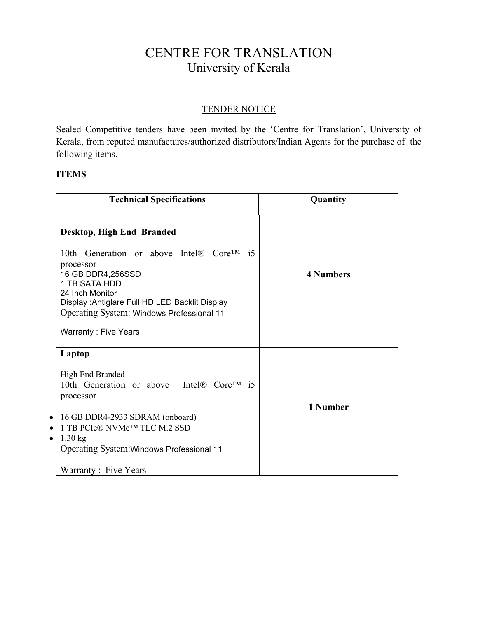## CENTRE FOR TRANSLATION University of Kerala

## TENDER NOTICE

Sealed Competitive tenders have been invited by the 'Centre for Translation', University of Kerala, from reputed manufactures/authorized distributors/Indian Agents for the purchase of the following items.

## **ITEMS**

| <b>Technical Specifications</b>                                                                                                                                                                                                        | Quantity         |
|----------------------------------------------------------------------------------------------------------------------------------------------------------------------------------------------------------------------------------------|------------------|
| Desktop, High End Branded                                                                                                                                                                                                              |                  |
| 10th Generation or above Intel® Core™ i5<br>processor<br>16 GB DDR4,256SSD<br>1 TB SATA HDD<br>24 Inch Monitor<br>Display : Antiglare Full HD LED Backlit Display<br>Operating System: Windows Professional 11<br>Warranty: Five Years | <b>4 Numbers</b> |
| Laptop                                                                                                                                                                                                                                 |                  |
| High End Branded<br>10th Generation or above Intel® Core <sup>TM</sup> i5<br>processor                                                                                                                                                 | 1 Number         |
| 16 GB DDR4-2933 SDRAM (onboard)<br>$\bullet$<br>1 TB PCIe® NVMe <sup>TM</sup> TLC M.2 SSD<br>$\bullet$<br>$1.30$ kg<br>$\bullet$<br>Operating System: Windows Professional 11                                                          |                  |
| Warranty: Five Years                                                                                                                                                                                                                   |                  |